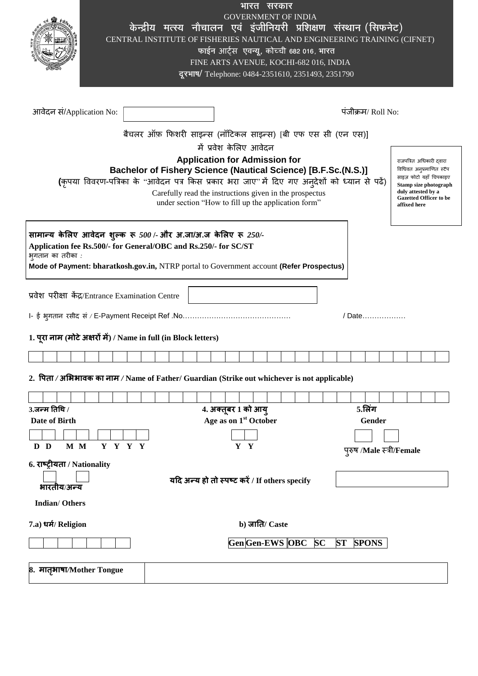|                                                                                                                           |                                                                                                                                                                                                                                                                                                                                                                                                                                                                                                              |  |  |  |  |  |  | <b>GOVERNMENT OF INDIA</b><br>केन्द्रीय मत्स्य नौचालन एवं इंजीनियरी प्रशिक्षण संस्थान (सिफनेट)<br>CENTRAL INSTITUTE OF FISHERIES NAUTICAL AND ENGINEERING TRAINING (CIFNET)<br>फाईन आर्ट्स एवन्यू, कोच्ची 682 016, भारत<br>FINE ARTS AVENUE, KOCHI-682 016, INDIA<br>दूरभाष/ Telephone: 0484-2351610, 2351493, 2351790 | भारत सरकार     |  |           |           |                      |              |  |  |  |
|---------------------------------------------------------------------------------------------------------------------------|--------------------------------------------------------------------------------------------------------------------------------------------------------------------------------------------------------------------------------------------------------------------------------------------------------------------------------------------------------------------------------------------------------------------------------------------------------------------------------------------------------------|--|--|--|--|--|--|------------------------------------------------------------------------------------------------------------------------------------------------------------------------------------------------------------------------------------------------------------------------------------------------------------------------|----------------|--|-----------|-----------|----------------------|--------------|--|--|--|
| आवेदन सं/Application No:                                                                                                  |                                                                                                                                                                                                                                                                                                                                                                                                                                                                                                              |  |  |  |  |  |  |                                                                                                                                                                                                                                                                                                                        |                |  |           |           | पंजीक्रम/ $Roll No:$ |              |  |  |  |
|                                                                                                                           |                                                                                                                                                                                                                                                                                                                                                                                                                                                                                                              |  |  |  |  |  |  | बैचलर ऑफ़ फिशरी साइन्स (नॉटिकल साइन्स) [बी एफ एस सी (एन एस)]                                                                                                                                                                                                                                                           |                |  |           |           |                      |              |  |  |  |
|                                                                                                                           |                                                                                                                                                                                                                                                                                                                                                                                                                                                                                                              |  |  |  |  |  |  | में प्रवेश केलिए आवेदन                                                                                                                                                                                                                                                                                                 |                |  |           |           |                      |              |  |  |  |
|                                                                                                                           | <b>Application for Admission for</b><br>राजपत्रित अधिकारी दवारा<br>Bachelor of Fishery Science (Nautical Science) [B.F.Sc.(N.S.)]<br>विधिवत अनुप्रमाणित स्टैंप<br>साइज़ फोटो यहाँ चिपकाइए<br>(कृपया विवरण-पत्रिका के "आवेदन पत्र किस प्रकार भरा जाए" में दिए गए अन्देशों को ध्यान से पढें)<br>Stamp size photograph<br>duly attested by a<br>Carefully read the instructions given in the prospectus<br><b>Gazetted Officer to be</b><br>under section "How to fill up the application form"<br>affixed here |  |  |  |  |  |  |                                                                                                                                                                                                                                                                                                                        |                |  |           |           |                      |              |  |  |  |
|                                                                                                                           | सामान्य केलिए आवेदन शुल्क रू 500 /- और अ.जा/अ.ज केलिए रू 250/-<br>Application fee Rs.500/- for General/OBC and Rs.250/- for SC/ST<br>भुगतान का तरीका :<br>Mode of Payment: bharatkosh.gov.in, NTRP portal to Government account (Refer Prospectus)                                                                                                                                                                                                                                                           |  |  |  |  |  |  |                                                                                                                                                                                                                                                                                                                        |                |  |           |           |                      |              |  |  |  |
| प्रवेश परीक्षा केंद्र/Entrance Examination Centre<br>1. पूरा नाम (मोटे अक्षरों में) / Name in full (in Block letters)     |                                                                                                                                                                                                                                                                                                                                                                                                                                                                                                              |  |  |  |  |  |  |                                                                                                                                                                                                                                                                                                                        |                |  |           |           | / Date               |              |  |  |  |
|                                                                                                                           |                                                                                                                                                                                                                                                                                                                                                                                                                                                                                                              |  |  |  |  |  |  |                                                                                                                                                                                                                                                                                                                        |                |  |           |           |                      |              |  |  |  |
| 2. पिता / अभिभावक का नाम / Name of Father/ Guardian (Strike out whichever is not applicable)                              |                                                                                                                                                                                                                                                                                                                                                                                                                                                                                                              |  |  |  |  |  |  |                                                                                                                                                                                                                                                                                                                        |                |  |           |           |                      |              |  |  |  |
|                                                                                                                           |                                                                                                                                                                                                                                                                                                                                                                                                                                                                                                              |  |  |  |  |  |  |                                                                                                                                                                                                                                                                                                                        |                |  |           |           |                      |              |  |  |  |
| $3.$ जन्म तिथि /                                                                                                          |                                                                                                                                                                                                                                                                                                                                                                                                                                                                                                              |  |  |  |  |  |  | 4. अक्तूबर 1 को आयु                                                                                                                                                                                                                                                                                                    |                |  |           |           |                      | 5.लिंग       |  |  |  |
| Age as on 1 <sup>st</sup> October<br>Date of Birth<br>Gender<br>Y Y Y Y<br>Y Y<br>M M<br>D D<br>पुरुष /Male स्त्री/Female |                                                                                                                                                                                                                                                                                                                                                                                                                                                                                                              |  |  |  |  |  |  |                                                                                                                                                                                                                                                                                                                        |                |  |           |           |                      |              |  |  |  |
| 6. राष्ट्रीयता / Nationality<br>भारतीय/अन्य                                                                               |                                                                                                                                                                                                                                                                                                                                                                                                                                                                                                              |  |  |  |  |  |  | यदि अन्य हो तो स्पष्ट करें / If others specify                                                                                                                                                                                                                                                                         |                |  |           |           |                      |              |  |  |  |
| <b>Indian/Others</b>                                                                                                      |                                                                                                                                                                                                                                                                                                                                                                                                                                                                                                              |  |  |  |  |  |  |                                                                                                                                                                                                                                                                                                                        |                |  |           |           |                      |              |  |  |  |
| 7.a) धर्म/ Religion                                                                                                       |                                                                                                                                                                                                                                                                                                                                                                                                                                                                                                              |  |  |  |  |  |  |                                                                                                                                                                                                                                                                                                                        | b) जाति/ Caste |  |           |           |                      |              |  |  |  |
|                                                                                                                           |                                                                                                                                                                                                                                                                                                                                                                                                                                                                                                              |  |  |  |  |  |  | Gen Gen-EWS OBC                                                                                                                                                                                                                                                                                                        |                |  | <b>SC</b> | <b>ST</b> |                      | <b>SPONS</b> |  |  |  |
| 8. मातृभाषा/Mother Tongue                                                                                                 |                                                                                                                                                                                                                                                                                                                                                                                                                                                                                                              |  |  |  |  |  |  |                                                                                                                                                                                                                                                                                                                        |                |  |           |           |                      |              |  |  |  |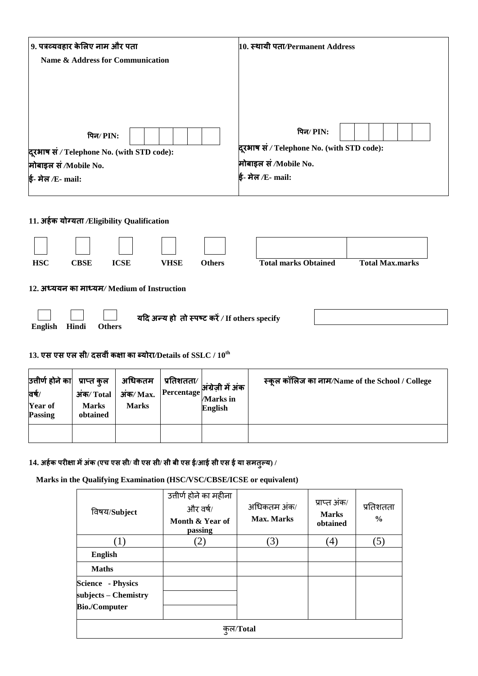| 9. पत्रव्यवहार केलिए नाम और पता            | 10. स्थायी पता/Permanent Address           |
|--------------------------------------------|--------------------------------------------|
| Name & Address for Communication           |                                            |
|                                            |                                            |
|                                            |                                            |
|                                            |                                            |
| पिन/PIN:                                   | पिन⁄ PIN:                                  |
| दूरभाष सं / Telephone No. (with STD code): | दूरभाष सं / Telephone No. (with STD code): |
| मोबाइल सं /Mobile No.                      | मोबाइल सं /Mobile No.                      |
| ई- मेल /E- mail:                           | ई- मेल /E- mail:                           |

**11. अहमक मोग्मता** */***Eligibility Qualification**

| <b>HSC</b>     | <b>CBSE</b> | <b>ICSE</b>   | VHSE                                           | <b>Others</b> | <b>Total marks Obtained</b> | <b>Total Max.marks</b> |
|----------------|-------------|---------------|------------------------------------------------|---------------|-----------------------------|------------------------|
|                |             |               | 12. अध्ययन का माध्यम/Medium of Instruction     |               |                             |                        |
| <b>English</b> | Hindi       | <b>Others</b> | यदि अन्य हो तो स्पष्ट करें / If others specify |               |                             |                        |

**13. एस एस एर सी/ दसवीॊकऺा का ब्मोया***/***Details of SSLC / 10th**

| उत्तीर्ण होने का<br>वर्ष/<br>Year of<br><b>Passing</b> | प्राप्त कुल<br>अंक/Total<br><b>Marks</b><br>obtained | अधिकतम<br>$3\frac{1}{4}$ Max.<br><b>Marks</b> | प्रतिशतता∕ ∣<br>Percentage | अंग्रेज़ी में अंक<br><b>Marks</b> in<br><b>English</b> | स्कल कॉलिज का नाम/Name of the School / College |
|--------------------------------------------------------|------------------------------------------------------|-----------------------------------------------|----------------------------|--------------------------------------------------------|------------------------------------------------|
|                                                        |                                                      |                                               |                            |                                                        |                                                |

14. अर्हक परीक्षा में अंक (एच एस सी/ वी एस सी/ सी बी एस ई/आई सी एस ई या समतुल्य) /

**Marks in the Qualifying Examination (HSC/VSC/CBSE/ICSE or equivalent)**

| विषय/Subject                                                             | उत्तीर्ण होने का महीना<br>और वर्ष/<br>Month & Year of<br>passing | अधिकतम अंक/<br>Max. Marks | प्राप्त अंक/<br><b>Marks</b><br>obtained | प्रतिशतता<br>$\frac{0}{0}$ |  |
|--------------------------------------------------------------------------|------------------------------------------------------------------|---------------------------|------------------------------------------|----------------------------|--|
| (1)                                                                      | $\left( 2\right)$                                                | (3)                       | $\left(4\right)$                         | (5)                        |  |
| <b>English</b>                                                           |                                                                  |                           |                                          |                            |  |
| <b>Maths</b>                                                             |                                                                  |                           |                                          |                            |  |
| <b>Science - Physics</b><br>subjects - Chemistry<br><b>Bio./Computer</b> |                                                                  |                           |                                          |                            |  |
| कल/Total                                                                 |                                                                  |                           |                                          |                            |  |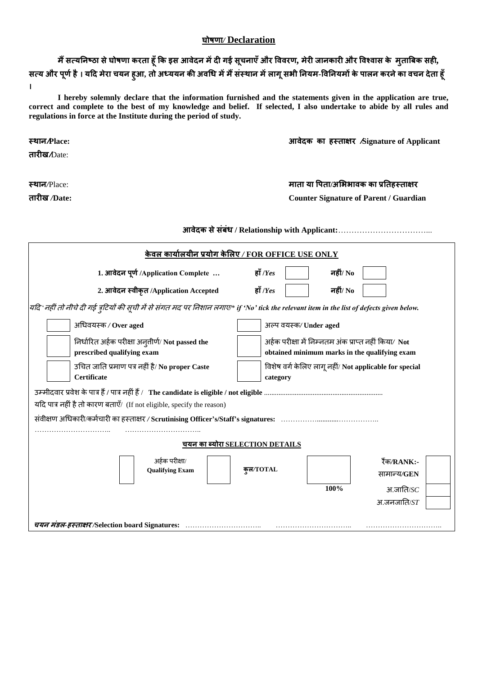## **घोषर्ा***/* **Declaration**

मैं सत्यनिष्ठा से घोषणा करता हूँ कि इस आवेदन में दी गई सूचनाएँ और विवरण, मेरी जानकारी और विश्वास के मुताबिक सही, सत्य और पूर्ण है । यदि मेरा चयन हुआ, तो अध्ययन की अवधि में मैं संस्थान में लागू सभी नियम-विनियमों के पालन करने का वचन देता हूँ **।** 

**I hereby solemnly declare that the information furnished and the statements given in the application are true, correct and complete to the best of my knowledge and belief. If selected, I also undertake to abide by all rules and regulations in force at the Institute during the period of study.**

**स्िान/Place: आवेदक का हस्ताऺय /Signature of Applicant**

| तारीख <i>/</i> Date:                                                                                                                       |                                                                                                       |  |  |  |  |  |
|--------------------------------------------------------------------------------------------------------------------------------------------|-------------------------------------------------------------------------------------------------------|--|--|--|--|--|
| स्थान/Place:<br>तारीख /Date:                                                                                                               | माता या पिता/अभिभावक का प्रतिहस्ताक्षर<br><b>Counter Signature of Parent / Guardian</b>               |  |  |  |  |  |
|                                                                                                                                            |                                                                                                       |  |  |  |  |  |
|                                                                                                                                            | केवल कार्यालयीन प्रयोग केलिए / FOR OFFICE USE ONLY                                                    |  |  |  |  |  |
| 1. आवेदन पूर्ण /Application Complete                                                                                                       | हाँ / $Yes$<br>नहीं/ No                                                                               |  |  |  |  |  |
| 2. आवेदन स्वीकृत /Application Accepted                                                                                                     | नहीं/ No<br>हाँ / $Yes$                                                                               |  |  |  |  |  |
| यदि 'नहीं तो नीचे दी गई त्रुटियों की सूची में से संगत मद पर निशान लगाए* if 'No' tick the relevant item in the list of defects given below. |                                                                                                       |  |  |  |  |  |
| अधिवयस्क / Over aged                                                                                                                       | अल्प वयस्क/Under aged                                                                                 |  |  |  |  |  |
| निर्धारित अर्हक परीक्षा अनुतीर्ण/ Not passed the<br>prescribed qualifying exam                                                             | अर्हक परीक्षा में निम्नतम अंक प्राप्त नहीं किया/ Not<br>obtained minimum marks in the qualifying exam |  |  |  |  |  |
| उचित जाति प्रमाण पत्र नहीं है/ No proper Caste<br>Certificate                                                                              | विशेष वर्ग केलिए लागू नहीं/ Not applicable for special<br>category                                    |  |  |  |  |  |
| यदि पात्र नहीं है तो कारण बताएँ/ (If not eligible, specify the reason)                                                                     |                                                                                                       |  |  |  |  |  |
|                                                                                                                                            |                                                                                                       |  |  |  |  |  |
|                                                                                                                                            | <u>चयन का ब्योरा SELECTION DETAILS</u>                                                                |  |  |  |  |  |
| अर्हक परीक्षा/<br><b>Qualifying Exam</b>                                                                                                   | रैंक/RANK:-<br>क्ल/TOTAL<br>सामान्य/GEN<br>100%<br>$\overline{31}$ .जाति/SC<br>$3I.$ जनजाति/ $ST$     |  |  |  |  |  |
| चयन मंडल-हस्ताक्षर/Selection board Signatures:                                                                                             |                                                                                                       |  |  |  |  |  |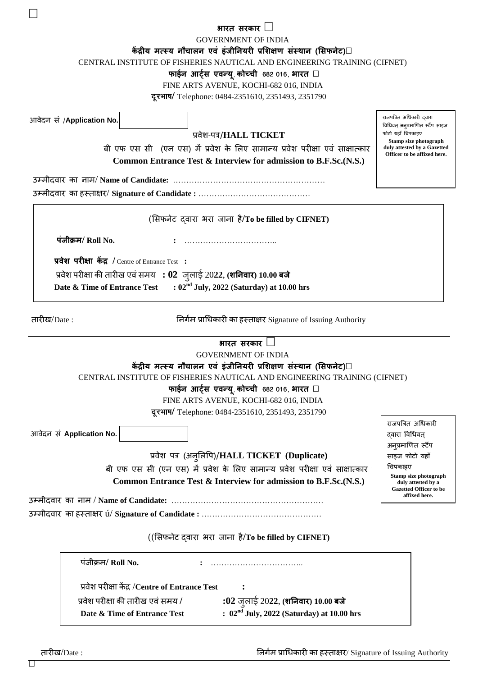|                                                                                                                        | भारत सरकार<br><b>GOVERNMENT OF INDIA</b><br>केंद्रीय मत्स्य नौचालन एवं इंजीनियरी प्रशिक्षण संस्थान (सिफनेट)<br>CENTRAL INSTITUTE OF FISHERIES NAUTICAL AND ENGINEERING TRAINING (CIFNET)<br>फाईन आर्ट्स एवन्यू कोच्ची 682 016, भारत<br>FINE ARTS AVENUE, KOCHI-682 016, INDIA<br>दूरभाष/ Telephone: 0484-2351610, 2351493, 2351790 |                                                             |  |  |  |  |
|------------------------------------------------------------------------------------------------------------------------|------------------------------------------------------------------------------------------------------------------------------------------------------------------------------------------------------------------------------------------------------------------------------------------------------------------------------------|-------------------------------------------------------------|--|--|--|--|
| आवेदन सं /Application No.                                                                                              |                                                                                                                                                                                                                                                                                                                                    | राजपत्रित अधिकारी दवारा<br>विधिवत् अनुप्रमाणित स्टैंप साइज़ |  |  |  |  |
|                                                                                                                        | प्रवेश-पत्र/HALL TICKET                                                                                                                                                                                                                                                                                                            | फोटो यहाँ चिपकाइए<br>Stamp size photograph                  |  |  |  |  |
|                                                                                                                        | बी एफ एस सी (एन एस) में प्रवेश के लिए सामान्य प्रवेश परीक्षा एवं साक्षात्कार                                                                                                                                                                                                                                                       | duly attested by a Gazetted<br>Officer to be affixed here.  |  |  |  |  |
|                                                                                                                        | Common Entrance Test & Interview for admission to B.F.Sc.(N.S.)                                                                                                                                                                                                                                                                    |                                                             |  |  |  |  |
|                                                                                                                        |                                                                                                                                                                                                                                                                                                                                    |                                                             |  |  |  |  |
|                                                                                                                        |                                                                                                                                                                                                                                                                                                                                    |                                                             |  |  |  |  |
|                                                                                                                        |                                                                                                                                                                                                                                                                                                                                    |                                                             |  |  |  |  |
|                                                                                                                        | (सिफनेट दवारा भरा जाना है/To be filled by CIFNET)                                                                                                                                                                                                                                                                                  |                                                             |  |  |  |  |
| पंजीक्रम/ Roll No.                                                                                                     |                                                                                                                                                                                                                                                                                                                                    |                                                             |  |  |  |  |
| प्रवेश परीक्षा केंद्र / Centre of Entrance Test :                                                                      |                                                                                                                                                                                                                                                                                                                                    |                                                             |  |  |  |  |
|                                                                                                                        | प्रवेश परीक्षा की तारीख एवं समय $\; : 02 \;$ जुलाई 2022, (शनिवार) 10.00 बजे                                                                                                                                                                                                                                                        |                                                             |  |  |  |  |
| Date & Time of Entrance Test                                                                                           | : $02nd$ July, 2022 (Saturday) at 10.00 hrs                                                                                                                                                                                                                                                                                        |                                                             |  |  |  |  |
|                                                                                                                        |                                                                                                                                                                                                                                                                                                                                    |                                                             |  |  |  |  |
| तारीख/Date :                                                                                                           | निर्गम प्राधिकारी का हस्ताक्षर Signature of Issuing Authority                                                                                                                                                                                                                                                                      |                                                             |  |  |  |  |
|                                                                                                                        | भारत सरकार                                                                                                                                                                                                                                                                                                                         |                                                             |  |  |  |  |
|                                                                                                                        | <b>GOVERNMENT OF INDIA</b><br>केंद्रीय मत्स्य नौचालन एवं इंजीनियरी प्रशिक्षण संस्थान (सिफनेट)                                                                                                                                                                                                                                      |                                                             |  |  |  |  |
|                                                                                                                        | CENTRAL INSTITUTE OF FISHERIES NAUTICAL AND ENGINEERING TRAINING (CIFNET)                                                                                                                                                                                                                                                          |                                                             |  |  |  |  |
|                                                                                                                        | फाईन आर्ट्स एवन्यू कोच्ची 682 016, भारत                                                                                                                                                                                                                                                                                            |                                                             |  |  |  |  |
|                                                                                                                        | FINE ARTS AVENUE, KOCHI-682 016, INDIA                                                                                                                                                                                                                                                                                             |                                                             |  |  |  |  |
|                                                                                                                        | दूरभाष/ Telephone: 0484-2351610, 2351493, 2351790                                                                                                                                                                                                                                                                                  |                                                             |  |  |  |  |
|                                                                                                                        |                                                                                                                                                                                                                                                                                                                                    | राजपत्रित अधिकारी                                           |  |  |  |  |
| आवेदन सं Application No.                                                                                               |                                                                                                                                                                                                                                                                                                                                    | दवारा विधिवत्                                               |  |  |  |  |
|                                                                                                                        | प्रवेश पत्र (अनुलिपि)/HALL TICKET (Duplicate)                                                                                                                                                                                                                                                                                      | अनुप्रमाणित स्टैंप<br>साइज़ फोटो यहाँ                       |  |  |  |  |
|                                                                                                                        |                                                                                                                                                                                                                                                                                                                                    | चिपकाइए                                                     |  |  |  |  |
|                                                                                                                        | बी एफ एस सी (एन एस) में प्रवेश के लिए सामान्य प्रवेश परीक्षा एवं साक्षात्कार                                                                                                                                                                                                                                                       | Stamp size photograph                                       |  |  |  |  |
| Common Entrance Test & Interview for admission to B.F.Sc.(N.S.)<br>duly attested by a<br><b>Gazetted Officer to be</b> |                                                                                                                                                                                                                                                                                                                                    |                                                             |  |  |  |  |
|                                                                                                                        |                                                                                                                                                                                                                                                                                                                                    | affixed here.                                               |  |  |  |  |
|                                                                                                                        |                                                                                                                                                                                                                                                                                                                                    |                                                             |  |  |  |  |
|                                                                                                                        | ((सिफनेट दवारा भरा जाना है/To be filled by CIFNET)                                                                                                                                                                                                                                                                                 |                                                             |  |  |  |  |
| पंजीक्रम/Roll No.                                                                                                      |                                                                                                                                                                                                                                                                                                                                    |                                                             |  |  |  |  |
|                                                                                                                        | प्रवेश परीक्षा केंद्र /Centre of Entrance Test                                                                                                                                                                                                                                                                                     |                                                             |  |  |  |  |
| प्रवेश परीक्षा की तारीख एवं समय /                                                                                      | :02 जुलाई 2022, (शनिवार) 10.00 बजे                                                                                                                                                                                                                                                                                                 |                                                             |  |  |  |  |

**Date & Time of Entrance Test : 02nd July, 2022 (Saturday) at 10.00 hrs**